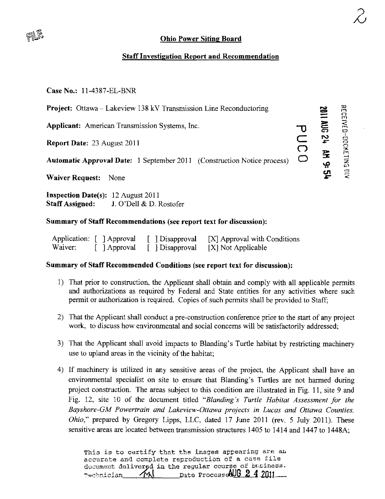# $\approx v_{\rm m}$

## **Ohio Power Siting Board**

### Staff Investigation Report and Recommendation

Case No.: 11-4387-EL-BNR

Project: Ottawa- Lakeview 138 kV Transmission Line Reconductoring

Applicant: American Transmission Systems, Inc. <br>
Report Date: 23 August 2011

Report Date: 23 August 2011

Automatic Approval Date: 1 September 2011 (Construction Notice process)

Waiver Request: None

Inspection Date(s): 12 August 2011 Staff Assigned: J. O'Dell & D. Rostofer

#### Summary of Staff Recommendations (see report text for discussion):

| Application: [ ] Approval |              | [ ] Disapproval | [X] Approval with Conditions |
|---------------------------|--------------|-----------------|------------------------------|
| Waiver.                   | [ ] Approval | [ ] Disapproval | [X] Not Applicable           |

#### Summary of Staff Recommended Conditions (see report text for discussion):

- 1) That prior to construction, the Applicant shall obtain and comply with all applicable permits and authorizations as required by Federal and State entities for any activities where such permit or authorization is required. Copies of such permits shall be provided to Staff;
- 2) That the Applicant shall conduct a pre-construction conference prior to the start of any project work, to discuss how environmental and social concerns will be satisfactorily addressed;
- 3) That the Applicant shall avoid impacts to Blanding's Turtle habitat by restricting machinery use to upland areas in the vicinity of the habitat;
- 4) If machinery is utilized in any sensitive areas of the project, the Applicant shall have an environmental specialist on site to ensure that Blanding's Turtles are not harmed during project construction. The areas subject to this condition are illustrated in Fig. 11, site 9 and Fig. 12, site 10 of the document titled "Blanding's Turtle Habitat Assessment for the Bayshore-GM Powertrain and Lakeview-Ottawa projects in Lucas and Ottawa Counties, Ohio;' prepared by Gregory Lipps, LLC, dated 17 June 2011 (rev. 5 July 2011). These sensitive areas are located between transmission structures 1405 to 1414 and 1447 to 1448A;

This is to certify that the images appearing are an accurate and complete reproduction of a case file document delivered in the regular course of business. Technician AA Date Processe&UG 2 4 2011

»\*  $\Xi$ 

ነሪ 5r

 $\mathbf{F}$ »^  $\mathbf{r}$  $\ddot{\phantom{0}}$ 

 $\overline{P}$  $\mathcal{N}$